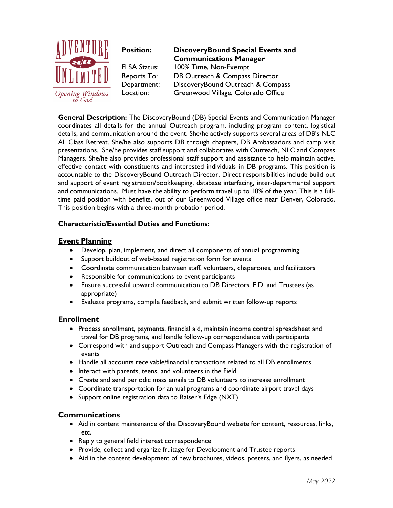

to God

**Position: DiscoveryBound Special Events and Communications Manager** FLSA Status: 100% Time, Non-Exempt Reports To: DB Outreach & Compass Director Department: DiscoveryBound Outreach & Compass Location: Greenwood Village, Colorado Office

**General Description:** The DiscoveryBound (DB) Special Events and Communication Manager coordinates all details for the annual Outreach program, including program content, logistical details, and communication around the event. She/he actively supports several areas of DB's NLC All Class Retreat. She/he also supports DB through chapters, DB Ambassadors and camp visit presentations. She/he provides staff support and collaborates with Outreach, NLC and Compass Managers. She/he also provides professional staff support and assistance to help maintain active, effective contact with constituents and interested individuals in DB programs. This position is accountable to the DiscoveryBound Outreach Director. Direct responsibilities include build out and support of event registration/bookkeeping, database interfacing, inter-departmental support and communications. Must have the ability to perform travel up to 10% of the year. This is a fulltime paid position with benefits, out of our Greenwood Village office near Denver, Colorado. This position begins with a three-month probation period.

## **Characteristic/Essential Duties and Functions:**

## **Event Planning**

- Develop, plan, implement, and direct all components of annual programming
- Support buildout of web-based registration form for events
- Coordinate communication between staff, volunteers, chaperones, and facilitators
- Responsible for communications to event participants
- Ensure successful upward communication to DB Directors, E.D. and Trustees (as appropriate)
- Evaluate programs, compile feedback, and submit written follow-up reports

### **Enrollment**

- Process enrollment, payments, financial aid, maintain income control spreadsheet and travel for DB programs, and handle follow-up correspondence with participants
- Correspond with and support Outreach and Compass Managers with the registration of events
- Handle all accounts receivable/financial transactions related to all DB enrollments
- Interact with parents, teens, and volunteers in the Field
- Create and send periodic mass emails to DB volunteers to increase enrollment
- Coordinate transportation for annual programs and coordinate airport travel days
- Support online registration data to Raiser's Edge (NXT)

### **Communications**

- Aid in content maintenance of the DiscoveryBound website for content, resources, links, etc.
- Reply to general field interest correspondence
- Provide, collect and organize fruitage for Development and Trustee reports
- Aid in the content development of new brochures, videos, posters, and flyers, as needed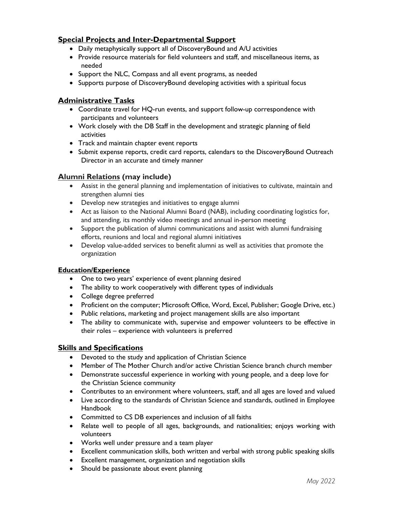# **Special Projects and Inter-Departmental Support**

- Daily metaphysically support all of DiscoveryBound and A/U activities
- Provide resource materials for field volunteers and staff, and miscellaneous items, as needed
- Support the NLC, Compass and all event programs, as needed
- Supports purpose of DiscoveryBound developing activities with a spiritual focus

# **Administrative Tasks**

- Coordinate travel for HQ-run events, and support follow-up correspondence with participants and volunteers
- Work closely with the DB Staff in the development and strategic planning of field activities
- Track and maintain chapter event reports
- Submit expense reports, credit card reports, calendars to the DiscoveryBound Outreach Director in an accurate and timely manner

# **Alumni Relations (may include)**

- Assist in the general planning and implementation of initiatives to cultivate, maintain and strengthen alumni ties
- Develop new strategies and initiatives to engage alumni
- Act as liaison to the National Alumni Board (NAB), including coordinating logistics for, and attending, its monthly video meetings and annual in-person meeting
- Support the publication of alumni communications and assist with alumni fundraising efforts, reunions and local and regional alumni initiatives
- Develop value-added services to benefit alumni as well as activities that promote the organization

### **Education/Experience**

- One to two years' experience of event planning desired
- The ability to work cooperatively with different types of individuals
- College degree preferred
- Proficient on the computer; Microsoft Office, Word, Excel, Publisher; Google Drive, etc.)
- Public relations, marketing and project management skills are also important
- The ability to communicate with, supervise and empower volunteers to be effective in their roles – experience with volunteers is preferred

# **Skills and Specifications**

- Devoted to the study and application of Christian Science
- Member of The Mother Church and/or active Christian Science branch church member
- Demonstrate successful experience in working with young people, and a deep love for the Christian Science community
- Contributes to an environment where volunteers, staff, and all ages are loved and valued
- Live according to the standards of Christian Science and standards, outlined in Employee Handbook
- Committed to CS DB experiences and inclusion of all faiths
- Relate well to people of all ages, backgrounds, and nationalities; enjoys working with volunteers
- Works well under pressure and a team player
- Excellent communication skills, both written and verbal with strong public speaking skills
- Excellent management, organization and negotiation skills
- Should be passionate about event planning